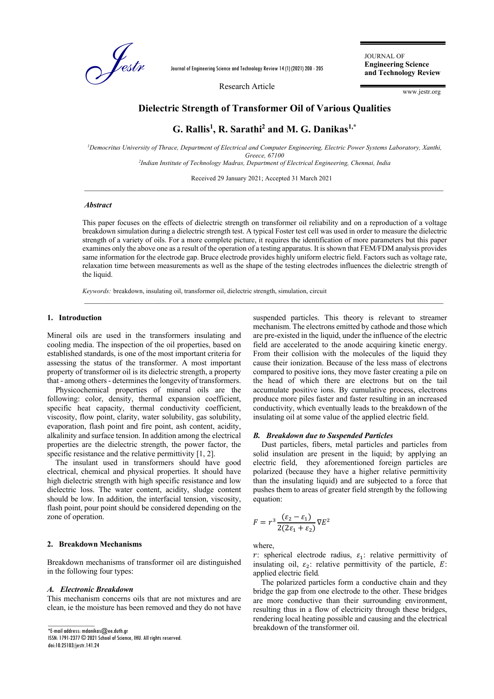

Journal of Engineering Science and Technology Review 14 (1) (2021) 200 - 205

Research Article

JOURNAL OF **Engineering Science and Technology Review**

www.jestr.org

## **Dielectric Strength of Transformer Oil of Various Qualities**

# **G. Rallis<sup>1</sup> , R. Sarathi<sup>2</sup> and M. G. Danikas1,\***

*<sup>1</sup>Democritus University of Thrace, Department of Electrical and Computer Engineering, Electric Power Systems Laboratory, Xanthi, Greece, 67100 2 Indian Institute of Technology Madras, Department of Electrical Engineering, Chennai, India*

Received 29 January 2021; Accepted 31 March 2021 \_\_\_\_\_\_\_\_\_\_\_\_\_\_\_\_\_\_\_\_\_\_\_\_\_\_\_\_\_\_\_\_\_\_\_\_\_\_\_\_\_\_\_\_\_\_\_\_\_\_\_\_\_\_\_\_\_\_\_\_\_\_\_\_\_\_\_\_\_\_\_\_\_\_\_\_\_\_\_\_\_\_\_\_\_\_\_\_\_\_\_

## *Abstract*

This paper focuses on the effects of dielectric strength on transformer oil reliability and on a reproduction of a voltage breakdown simulation during a dielectric strength test. A typical Foster test cell was used in order to measure the dielectric strength of a variety of oils. For a more complete picture, it requires the identification of more parameters but this paper examines only the above one as a result of the operation of a testing apparatus. It is shown that FEM/FDM analysis provides same information for the electrode gap. Bruce electrode provides highly uniform electric field. Factors such as voltage rate, relaxation time between measurements as well as the shape of the testing electrodes influences the dielectric strength of the liquid.

\_\_\_\_\_\_\_\_\_\_\_\_\_\_\_\_\_\_\_\_\_\_\_\_\_\_\_\_\_\_\_\_\_\_\_\_\_\_\_\_\_\_\_\_\_\_\_\_\_\_\_\_\_\_\_\_\_\_\_\_\_\_\_\_\_\_\_\_\_\_\_\_\_\_\_\_\_\_\_\_\_\_\_\_\_\_\_\_\_\_\_

*Keywords:* breakdown, insulating oil, transformer oil, dielectric strength, simulation, circuit

### **1. Introduction**

Mineral oils are used in the transformers insulating and cooling media. The inspection of the oil properties, based on established standards, is one of the most important criteria for assessing the status of the transformer. A most important property of transformer oil is its dielectric strength, a property that - among others - determines the longevity of transformers.

Physicochemical properties of mineral oils are the following: color, density, thermal expansion coefficient, specific heat capacity, thermal conductivity coefficient, viscosity, flow point, clarity, water solubility, gas solubility, evaporation, flash point and fire point, ash content, acidity, alkalinity and surface tension. In addition among the electrical properties are the dielectric strength, the power factor, the specific resistance and the relative permittivity [1, 2].

The insulant used in transformers should have good electrical, chemical and physical properties. It should have high dielectric strength with high specific resistance and low dielectric loss. The water content, acidity, sludge content should be low. In addition, the interfacial tension, viscosity, flash point, pour point should be considered depending on the zone of operation.

## **2. Breakdown Mechanisms**

Breakdown mechanisms of transformer oil are distinguished in the following four types:

### *A. Electronic Breakdown*

This mechanism concerns oils that are not mixtures and are clean, ie the moisture has been removed and they do not have

\*E-mail address: mdanikas@ee.duth.gr

 $\overline{\phantom{a}}$  , where  $\overline{\phantom{a}}$ 

ISSN: 1791-2377 © 2021 School of Science, IHU. All rights reserved. doi:10.25103/jestr.141.24

suspended particles. This theory is relevant to streamer mechanism. The electrons emitted by cathode and those which are pre-existed in the liquid, under the influence of the electric field are accelerated to the anode acquiring kinetic energy. From their collision with the molecules of the liquid they cause their ionization. Because of the less mass of electrons compared to positive ions, they move faster creating a pile on the head of which there are electrons but on the tail accumulate positive ions. By cumulative process, electrons produce more piles faster and faster resulting in an increased conductivity, which eventually leads to the breakdown of the insulating oil at some value of the applied electric field.

#### *B. Breakdown due to Suspended Particles*

Dust particles, fibers, metal particles and particles from solid insulation are present in the liquid; by applying an electric field, they aforementioned foreign particles are polarized (because they have a higher relative permittivity than the insulating liquid) and are subjected to a force that pushes them to areas of greater field strength by the following equation:

$$
F = r^3 \frac{(\varepsilon_2 - \varepsilon_1)}{2(2\varepsilon_1 + \varepsilon_2)} \nabla E^2
$$

where,

r: spherical electrode radius,  $\varepsilon_1$ : relative permittivity of insulating oil,  $\varepsilon_2$ : relative permittivity of the particle, E: applied electric field*.*

The polarized particles form a conductive chain and they bridge the gap from one electrode to the other. These bridges are more conductive than their surrounding environment, resulting thus in a flow of electricity through these bridges, rendering local heating possible and causing and the electrical breakdown of the transformer oil.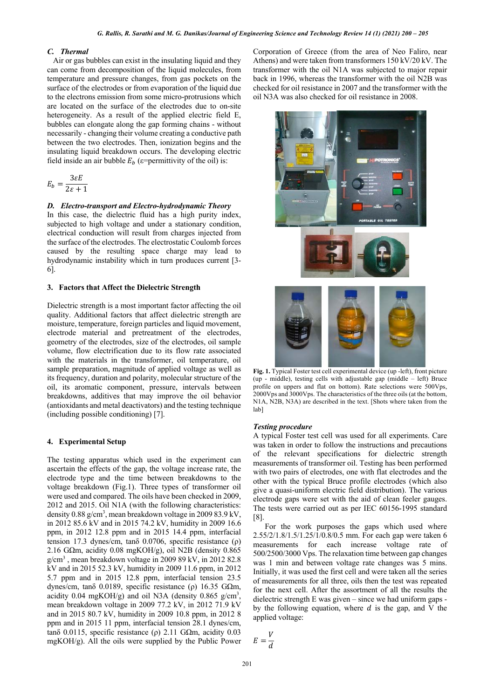#### *C. Thermal*

Air or gas bubbles can exist in the insulating liquid and they can come from decomposition of the liquid molecules, from temperature and pressure changes, from gas pockets on the surface of the electrodes or from evaporation of the liquid due to the electrons emission from some micro-protrusions which are located on the surface of the electrodes due to on-site heterogeneity. As a result of the applied electric field E, bubbles can elongate along the gap forming chains - without necessarily - changing their volume creating a conductive path between the two electrodes. Then, ionization begins and the insulating liquid breakdown occurs. The developing electric field inside an air bubble  $E_h$  (*ε*=permittivity of the oil) is:

$$
E_b = \frac{3\varepsilon E}{2\varepsilon + 1}
$$

## *D. Electro-transport and Electro-hydrodynamic Theory*

Ιn this case, the dielectric fluid has a high purity index, subjected to high voltage and under a stationary condition, electrical conduction will result from charges injected from the surface of the electrodes. Τhe electrostatic Coulomb forces caused by the resulting space charge may lead to hydrodynamic instability which in turn produces current [3- 6].

## **3. Factors that Affect the Dielectric Strength**

Dielectric strength is a most important factor affecting the oil quality. Additional factors that affect dielectric strength are moisture, temperature, foreign particles and liquid movement, electrode material and pretreatment of the electrodes, geometry of the electrodes, size of the electrodes, oil sample volume, flow electrification due to its flow rate associated with the materials in the transformer, oil temperature, oil sample preparation, magnitude of applied voltage as well as its frequency, duration and polarity, molecular structure of the oil, its aromatic component, pressure, intervals between breakdowns, additives that may improve the oil behavior (antioxidants and metal deactivators) and the testing technique (including possible conditioning) [7].

#### **4. Experimental Setup**

The testing apparatus which used in the experiment can ascertain the effects of the gap, the voltage increase rate, the electrode type and the time between breakdowns to the voltage breakdown (Fig.1). Three types of transformer oil were used and compared. The oils have been checked in 2009, 2012 and 2015. Oil N1A (with the following characteristics: density 0.88 g/cm<sup>3</sup>, mean breakdown voltage in 2009 83.9 kV, in 2012 85.6 kV and in 2015 74.2 kV, humidity in 2009 16.6 ppm, in 2012 12.8 ppm and in 2015 14.4 ppm, interfacial tension 17.3 dynes/cm, tanδ 0.0706, specific resistance (ρ) 2.16 G $\Omega$ m, acidity 0.08 mgKOH/g), oil N2B (density 0.865  $g/cm<sup>3</sup>$ , mean breakdown voltage in 2009 89 kV, in 2012 82.8 kV and in 2015 52.3 kV, humidity in 2009 11.6 ppm, in 2012 5.7 ppm and in 2015 12.8 ppm, interfacial tension 23.5 dynes/cm, tanδ 0.0189, specific resistance (ρ) 16.35 GΩm, acidity 0.04 mgKOH/g) and oil N3A (density 0.865  $g/cm^3$ , mean breakdown voltage in 2009 77.2 kV, in 2012 71.9 kV and in 2015 80.7 kV, humidity in 2009 10.8 ppm, in 2012 8 ppm and in 2015 11 ppm, interfacial tension 28.1 dynes/cm, tanδ 0.0115, specific resistance (ρ) 2.11 GΩm, acidity 0.03 mgKOH/g). All the oils were supplied by the Public Power

Corporation of Greece (from the area of Neo Faliro, near Athens) and were taken from transformers 150 kV/20 kV. The transformer with the oil N1A was subjected to major repair back in 1996, whereas the transformer with the oil N2B was checked for oil resistance in 2007 and the transformer with the oil N3A was also checked for oil resistance in 2008.



**Fig. 1.** Typical Foster test cell experimental device (up -left), front picture (up - middle), testing cells with adjustable gap (middle – left) Bruce profile on uppers and flat on bottom). Rate selections were 500Vps, 2000Vps and 3000Vps. The characteristics of the three oils (at the bottom, N1A, N2B, N3A) are described in the text. [Shots where taken from the lab]

#### *Testing procedure*

A typical Foster test cell was used for all experiments. Care was taken in order to follow the instructions and precautions of the relevant specifications for dielectric strength measurements of transformer oil. Testing has been performed with two pairs of electrodes, one with flat electrodes and the other with the typical Bruce profile electrodes (which also give a quasi-uniform electric field distribution). The various electrode gaps were set with the aid of clean feeler gauges. The tests were carried out as per IEC 60156-1995 standard [8].

For the work purposes the gaps which used where 2.55/2/1.8/1.5/1.25/1/0.8/0.5 mm. For each gap were taken 6 measurements for each increase voltage rate of 500/2500/3000 Vps. The relaxation time between gap changes was 1 min and between voltage rate changes was 5 mins. Initially, it was used the first cell and were taken all the series of measurements for all three, oils then the test was repeated for the next cell. After the assortment of all the results the dielectric strength E was given – since we had uniform gaps by the following equation, where  $d$  is the gap, and V the applied voltage:

$$
E = \frac{V}{d}
$$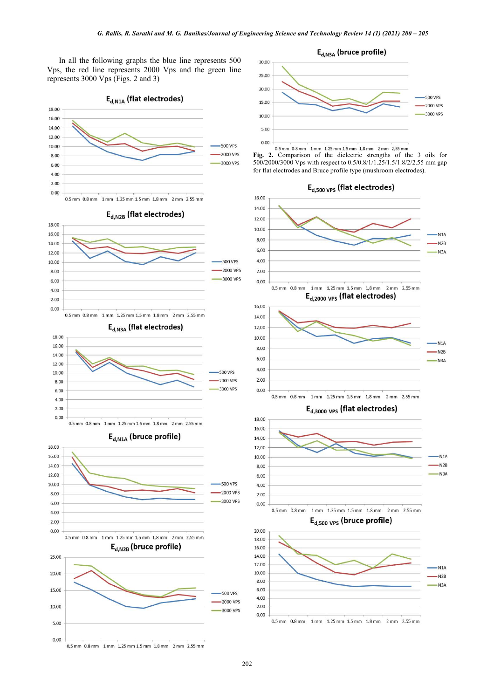In all the following graphs the blue line represents 500 Vps, the red line represents 2000 Vps and the green line represents 3000 Vps (Figs. 2 and 3)





**Fig. 2.** Comparison of the dielectric strengths of the 3 oils for 500/2000/3000 Vps with respect to 0.5/0.8/1/1.25/1.5/1.8/2/2.55 mm gap for flat electrodes and Bruce profile type (mushroom electrodes).









0.5 mm 0.8 mm 1 mm 1.25 mm 1.5 mm 1.8 mm 2 mm 2.55 mm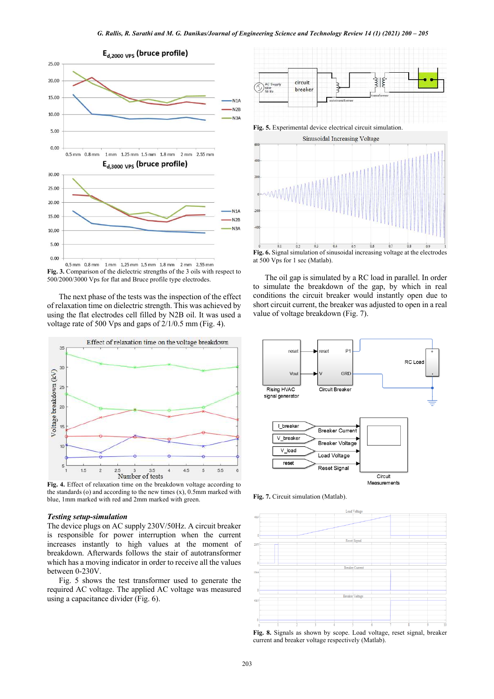

0.5 mm 0.8 mm 1 mm 1.25 mm 1.5 mm 1.8 mm 2 mm 2.55 mm **Fig. 3.** Comparison of the dielectric strengths of the 3 oils with respect to 500/2000/3000 Vps for flat and Bruce profile type electrodes.

The next phase of the tests was the inspection of the effect of relaxation time on dielectric strength. This was achieved by using the flat electrodes cell filled by N2B oil. It was used a voltage rate of 500 Vps and gaps of 2/1/0.5 mm (Fig. 4).



**Fig. 4.** Effect of relaxation time on the breakdown voltage according to the standards  $(o)$  and according to the new times  $(x)$ , 0.5mm marked with blue, 1mm marked with red and 2mm marked with green.

#### *Testing setup-simulation*

The device plugs on AC supply 230V/50Hz. A circuit breaker is responsible for power interruption when the current increases instantly to high values at the moment of breakdown. Afterwards follows the stair of autotransformer which has a moving indicator in order to receive all the values between 0-230V.

Fig. 5 shows the test transformer used to generate the required AC voltage. The applied AC voltage was measured using a capacitance divider (Fig. 6).



at 500 Vps for 1 sec (Matlab).

The oil gap is simulated by a RC load in parallel. In order to simulate the breakdown of the gap, by which in real conditions the circuit breaker would instantly open due to short circuit current, the breaker was adjusted to open in a real value of voltage breakdown (Fig. 7).



**Fig. 7.** Circuit simulation (Matlab).



**Fig. 8.** Signals as shown by scope. Load voltage, reset signal, breaker current and breaker voltage respectively (Matlab).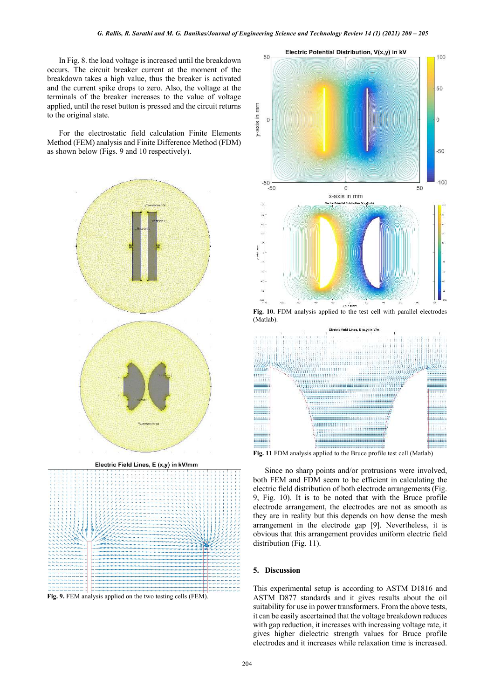In Fig. 8. the load voltage is increased until the breakdown occurs. The circuit breaker current at the moment of the breakdown takes a high value, thus the breaker is activated and the current spike drops to zero. Also, the voltage at the terminals of the breaker increases to the value of voltage applied, until the reset button is pressed and the circuit returns to the original state.

For the electrostatic field calculation Finite Elements Method (FEM) analysis and Finite Difference Method (FDM) as shown below (Figs. 9 and 10 respectively).





**Fig. 9.** FEM analysis applied on the two testing cells (FEM).



**Fig. 10.** FDM analysis applied to the test cell with parallel electrodes (Matlab).



**Fig. 11** FDM analysis applied to the Bruce profile test cell (Matlab)

Since no sharp points and/or protrusions were involved, both FEM and FDM seem to be efficient in calculating the electric field distribution of both electrode arrangements (Fig. 9, Fig. 10). It is to be noted that with the Bruce profile electrode arrangement, the electrodes are not as smooth as they are in reality but this depends on how dense the mesh arrangement in the electrode gap [9]. Nevertheless, it is obvious that this arrangement provides uniform electric field distribution (Fig. 11).

## **5. Discussion**

This experimental setup is according to ASTM D1816 and ASTM D877 standards and it gives results about the oil suitability for use in power transformers. From the above tests, it can be easily ascertained that the voltage breakdown reduces with gap reduction, it increases with increasing voltage rate, it gives higher dielectric strength values for Bruce profile electrodes and it increases while relaxation time is increased.